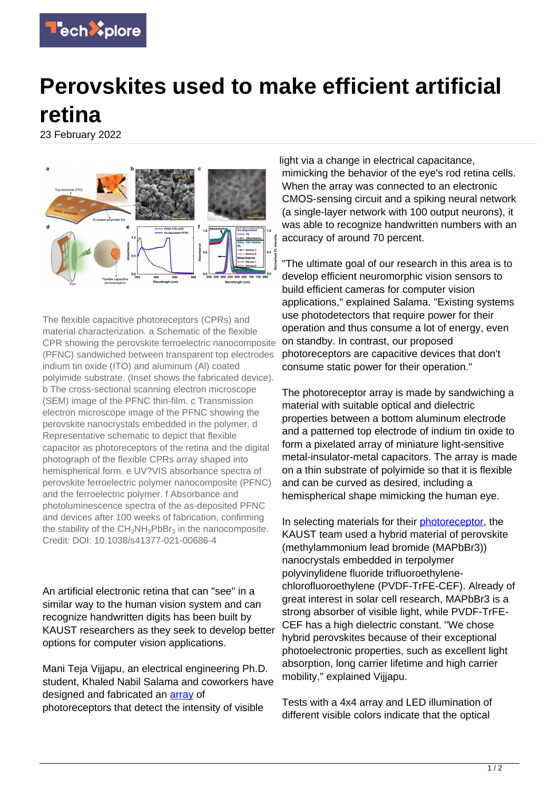

## **Perovskites used to make efficient artificial retina**

23 February 2022



The flexible capacitive photoreceptors (CPRs) and material characterization. a Schematic of the flexible CPR showing the perovskite ferroelectric nanocomposite (PFNC) sandwiched between transparent top electrodes indium tin oxide (ITO) and aluminum (Al) coated polyimide substrate. (Inset shows the fabricated device). b The cross-sectional scanning electron microscope (SEM) image of the PFNC thin-film. c Transmission electron microscope image of the PFNC showing the perovskite nanocrystals embedded in the polymer. d Representative schematic to depict that flexible capacitor as photoreceptors of the retina and the digital photograph of the flexible CPRs array shaped into hemispherical form. e UV?VIS absorbance spectra of perovskite ferroelectric polymer nanocomposite (PFNC) and the ferroelectric polymer. f Absorbance and photoluminescence spectra of the as-deposited PFNC and devices after 100 weeks of fabrication, confirming the stability of the  $CH_3NH_3PbBr_3$  in the nanocomposite. Credit: DOI: 10.1038/s41377-021-00686-4

An artificial electronic retina that can "see" in a similar way to the human vision system and can recognize handwritten digits has been built by KAUST researchers as they seek to develop better options for computer vision applications.

Mani Teja Vijjapu, an electrical engineering Ph.D. student, Khaled Nabil Salama and coworkers have designed and fabricated an [array](https://techxplore.com/tags/array/) of photoreceptors that detect the intensity of visible

light via a change in electrical capacitance, mimicking the behavior of the eye's rod retina cells. When the array was connected to an electronic CMOS-sensing circuit and a spiking neural network (a single-layer network with 100 output neurons), it was able to recognize handwritten numbers with an accuracy of around 70 percent.

"The ultimate goal of our research in this area is to develop efficient neuromorphic vision sensors to build efficient cameras for computer vision applications," explained Salama. "Existing systems use photodetectors that require power for their operation and thus consume a lot of energy, even on standby. In contrast, our proposed photoreceptors are capacitive devices that don't consume static power for their operation."

The photoreceptor array is made by sandwiching a material with suitable optical and dielectric properties between a bottom aluminum electrode and a patterned top electrode of indium tin oxide to form a pixelated array of miniature light-sensitive metal-insulator-metal capacitors. The array is made on a thin substrate of polyimide so that it is flexible and can be curved as desired, including a hemispherical shape mimicking the human eye.

In selecting materials for their *photoreceptor*, the KAUST team used a hybrid material of perovskite (methylammonium lead bromide (MAPbBr3)) nanocrystals embedded in terpolymer polyvinylidene fluoride trifluoroethylenechlorofluoroethylene (PVDF-TrFE-CEF). Already of great interest in solar cell research, MAPbBr3 is a strong absorber of visible light, while PVDF-TrFE-CEF has a high dielectric constant. "We chose hybrid perovskites because of their exceptional photoelectronic properties, such as excellent light absorption, long carrier lifetime and high carrier mobility," explained Vijjapu.

Tests with a 4x4 array and LED illumination of different visible colors indicate that the optical